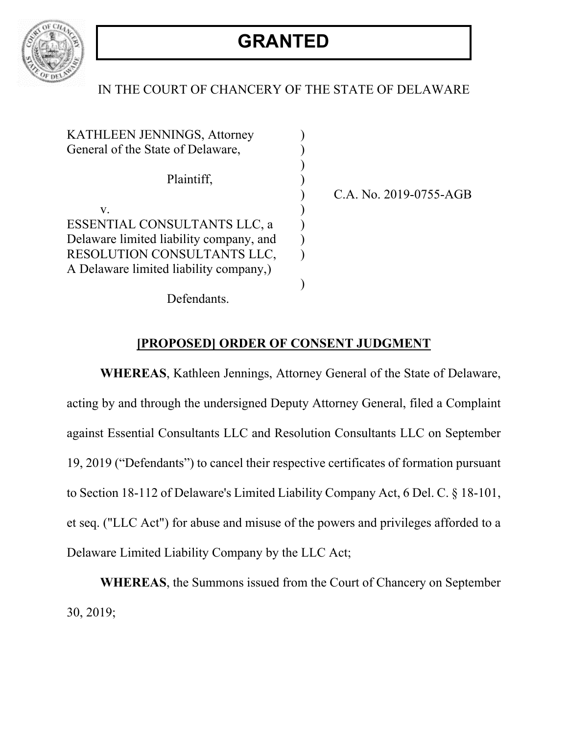

## IN THE COURT OF CHANCERY OF THE STATE OF DELAWARE

| KATHLEEN JENNINGS, Attorney             |  |
|-----------------------------------------|--|
| General of the State of Delaware,       |  |
|                                         |  |
| Plaintiff,                              |  |
|                                         |  |
| ${\bf V}_\cdot$                         |  |
| ESSENTIAL CONSULTANTS LLC. a            |  |
| Delaware limited liability company, and |  |
| RESOLUTION CONSULTANTS LLC,             |  |
| A Delaware limited liability company,)  |  |
|                                         |  |
|                                         |  |

) C.A. No. 2019-0755-AGB

Defendants.

## **[PROPOSED] ORDER OF CONSENT JUDGMENT**

**WHEREAS**, Kathleen Jennings, Attorney General of the State of Delaware, acting by and through the undersigned Deputy Attorney General, filed a Complaint against Essential Consultants LLC and Resolution Consultants LLC on September 19, 2019 ("Defendants") to cancel their respective certificates of formation pursuant to Section 18-112 of Delaware's Limited Liability Company Act, 6 Del. C. § 18-101, et seq. ("LLC Act") for abuse and misuse of the powers and privileges afforded to a Delaware Limited Liability Company by the LLC Act;

**WHEREAS**, the Summons issued from the Court of Chancery on September 30, 2019;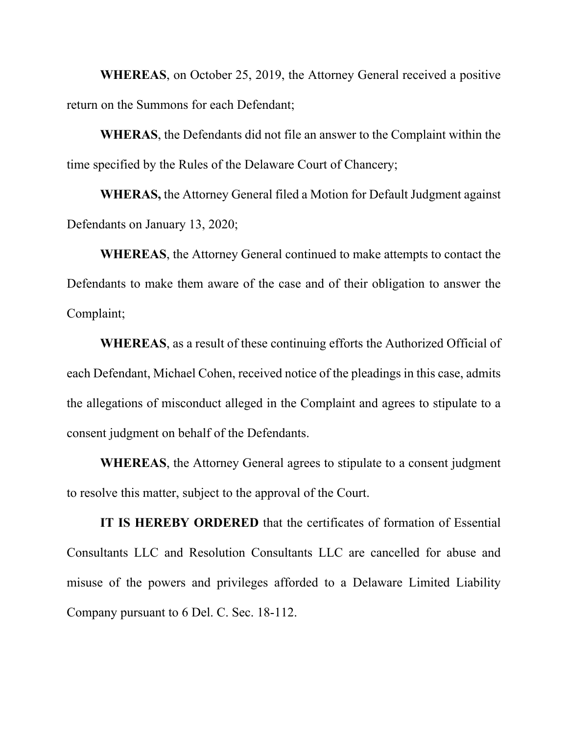**WHEREAS**, on October 25, 2019, the Attorney General received a positive return on the Summons for each Defendant;

**WHERAS**, the Defendants did not file an answer to the Complaint within the time specified by the Rules of the Delaware Court of Chancery;

**WHERAS,** the Attorney General filed a Motion for Default Judgment against Defendants on January 13, 2020;

**WHEREAS**, the Attorney General continued to make attempts to contact the Defendants to make them aware of the case and of their obligation to answer the Complaint;

**WHEREAS**, as a result of these continuing efforts the Authorized Official of each Defendant, Michael Cohen, received notice of the pleadings in this case, admits the allegations of misconduct alleged in the Complaint and agrees to stipulate to a consent judgment on behalf of the Defendants.

**WHEREAS**, the Attorney General agrees to stipulate to a consent judgment to resolve this matter, subject to the approval of the Court.

**IT IS HEREBY ORDERED** that the certificates of formation of Essential Consultants LLC and Resolution Consultants LLC are cancelled for abuse and misuse of the powers and privileges afforded to a Delaware Limited Liability Company pursuant to 6 Del. C. Sec. 18-112.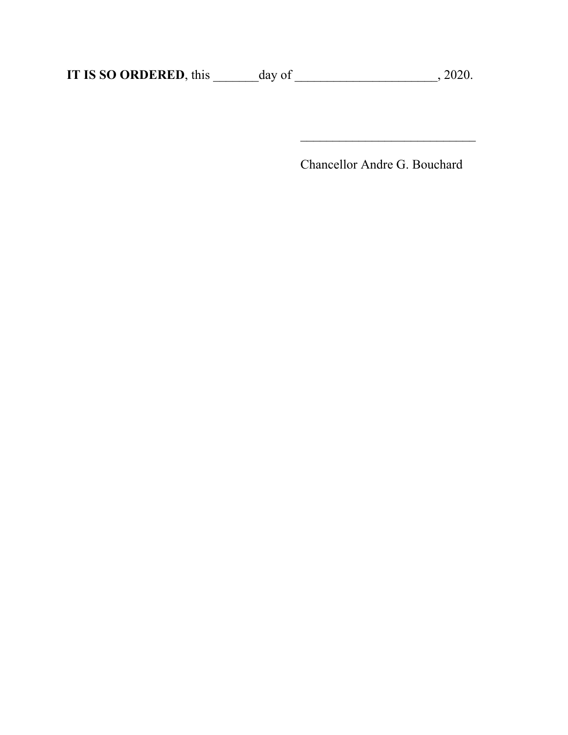**IT IS SO ORDERED**, this \_\_\_\_\_\_day of \_\_\_\_\_\_\_\_\_\_\_\_\_\_\_\_\_\_\_\_\_, 2020.

Chancellor Andre G. Bouchard